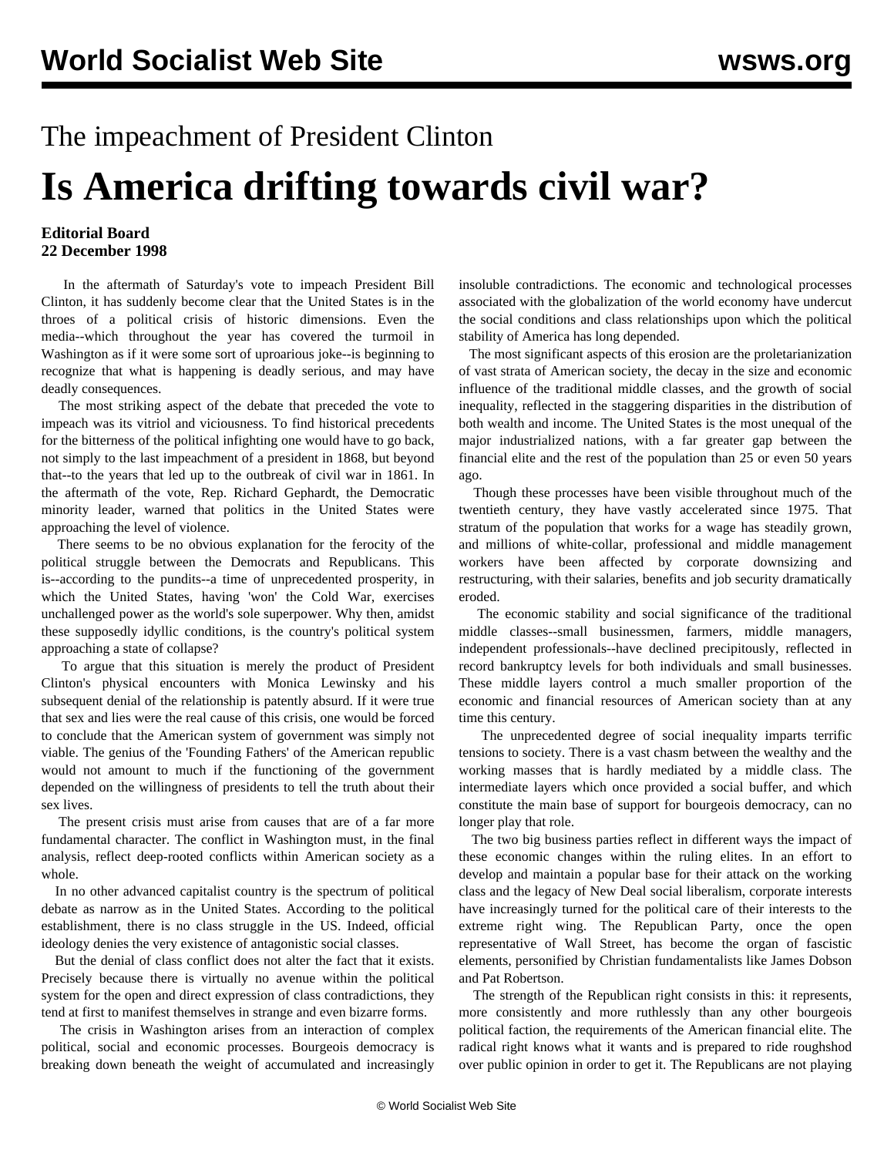## The impeachment of President Clinton **Is America drifting towards civil war?**

## **Editorial Board 22 December 1998**

 In the aftermath of Saturday's vote to impeach President Bill Clinton, it has suddenly become clear that the United States is in the throes of a political crisis of historic dimensions. Even the media--which throughout the year has covered the turmoil in Washington as if it were some sort of uproarious joke--is beginning to recognize that what is happening is deadly serious, and may have deadly consequences.

 The most striking aspect of the debate that preceded the vote to impeach was its vitriol and viciousness. To find historical precedents for the bitterness of the political infighting one would have to go back, not simply to the last impeachment of a president in 1868, but beyond that--to the years that led up to the outbreak of civil war in 1861. In the aftermath of the vote, Rep. Richard Gephardt, the Democratic minority leader, warned that politics in the United States were approaching the level of violence.

 There seems to be no obvious explanation for the ferocity of the political struggle between the Democrats and Republicans. This is--according to the pundits--a time of unprecedented prosperity, in which the United States, having 'won' the Cold War, exercises unchallenged power as the world's sole superpower. Why then, amidst these supposedly idyllic conditions, is the country's political system approaching a state of collapse?

 To argue that this situation is merely the product of President Clinton's physical encounters with Monica Lewinsky and his subsequent denial of the relationship is patently absurd. If it were true that sex and lies were the real cause of this crisis, one would be forced to conclude that the American system of government was simply not viable. The genius of the 'Founding Fathers' of the American republic would not amount to much if the functioning of the government depended on the willingness of presidents to tell the truth about their sex lives.

 The present crisis must arise from causes that are of a far more fundamental character. The conflict in Washington must, in the final analysis, reflect deep-rooted conflicts within American society as a whole.

 In no other advanced capitalist country is the spectrum of political debate as narrow as in the United States. According to the political establishment, there is no class struggle in the US. Indeed, official ideology denies the very existence of antagonistic social classes.

 But the denial of class conflict does not alter the fact that it exists. Precisely because there is virtually no avenue within the political system for the open and direct expression of class contradictions, they tend at first to manifest themselves in strange and even bizarre forms.

 The crisis in Washington arises from an interaction of complex political, social and economic processes. Bourgeois democracy is breaking down beneath the weight of accumulated and increasingly

insoluble contradictions. The economic and technological processes associated with the globalization of the world economy have undercut the social conditions and class relationships upon which the political stability of America has long depended.

 The most significant aspects of this erosion are the proletarianization of vast strata of American society, the decay in the size and economic influence of the traditional middle classes, and the growth of social inequality, reflected in the staggering disparities in the distribution of both wealth and income. The United States is the most unequal of the major industrialized nations, with a far greater gap between the financial elite and the rest of the population than 25 or even 50 years ago.

 Though these processes have been visible throughout much of the twentieth century, they have vastly accelerated since 1975. That stratum of the population that works for a wage has steadily grown, and millions of white-collar, professional and middle management workers have been affected by corporate downsizing and restructuring, with their salaries, benefits and job security dramatically eroded.

 The economic stability and social significance of the traditional middle classes--small businessmen, farmers, middle managers, independent professionals--have declined precipitously, reflected in record bankruptcy levels for both individuals and small businesses. These middle layers control a much smaller proportion of the economic and financial resources of American society than at any time this century.

 The unprecedented degree of social inequality imparts terrific tensions to society. There is a vast chasm between the wealthy and the working masses that is hardly mediated by a middle class. The intermediate layers which once provided a social buffer, and which constitute the main base of support for bourgeois democracy, can no longer play that role.

 The two big business parties reflect in different ways the impact of these economic changes within the ruling elites. In an effort to develop and maintain a popular base for their attack on the working class and the legacy of New Deal social liberalism, corporate interests have increasingly turned for the political care of their interests to the extreme right wing. The Republican Party, once the open representative of Wall Street, has become the organ of fascistic elements, personified by Christian fundamentalists like James Dobson and Pat Robertson.

 The strength of the Republican right consists in this: it represents, more consistently and more ruthlessly than any other bourgeois political faction, the requirements of the American financial elite. The radical right knows what it wants and is prepared to ride roughshod over public opinion in order to get it. The Republicans are not playing